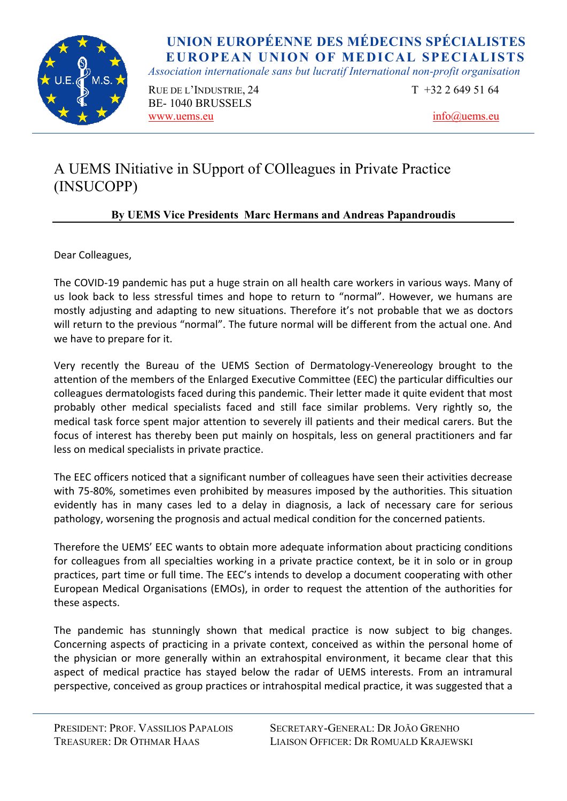

*Association internationale sans but lucratif International non-profit organisation* 

RUE DE L'INDUSTRIE, 24  $T +3226495164$ BE- 1040 BRUSSELS www.uems.eu info@uems.eu

## A UEMS INitiative in SUpport of COlleagues in Private Practice (INSUCOPP)

### **By UEMS Vice Presidents Marc Hermans and Andreas Papandroudis**

Dear Colleagues,

The COVID-19 pandemic has put a huge strain on all health care workers in various ways. Many of us look back to less stressful times and hope to return to "normal". However, we humans are mostly adjusting and adapting to new situations. Therefore it's not probable that we as doctors will return to the previous "normal". The future normal will be different from the actual one. And we have to prepare for it.

Very recently the Bureau of the UEMS Section of Dermatology-Venereology brought to the attention of the members of the Enlarged Executive Committee (EEC) the particular difficulties our colleagues dermatologists faced during this pandemic. Their letter made it quite evident that most probably other medical specialists faced and still face similar problems. Very rightly so, the medical task force spent major attention to severely ill patients and their medical carers. But the focus of interest has thereby been put mainly on hospitals, less on general practitioners and far less on medical specialists in private practice.

The EEC officers noticed that a significant number of colleagues have seen their activities decrease with 75-80%, sometimes even prohibited by measures imposed by the authorities. This situation evidently has in many cases led to a delay in diagnosis, a lack of necessary care for serious pathology, worsening the prognosis and actual medical condition for the concerned patients.

Therefore the UEMS' EEC wants to obtain more adequate information about practicing conditions for colleagues from all specialties working in a private practice context, be it in solo or in group practices, part time or full time. The EEC's intends to develop a document cooperating with other European Medical Organisations (EMOs), in order to request the attention of the authorities for these aspects.

The pandemic has stunningly shown that medical practice is now subject to big changes. Concerning aspects of practicing in a private context, conceived as within the personal home of the physician or more generally within an extrahospital environment, it became clear that this aspect of medical practice has stayed below the radar of UEMS interests. From an intramural perspective, conceived as group practices or intrahospital medical practice, it was suggested that a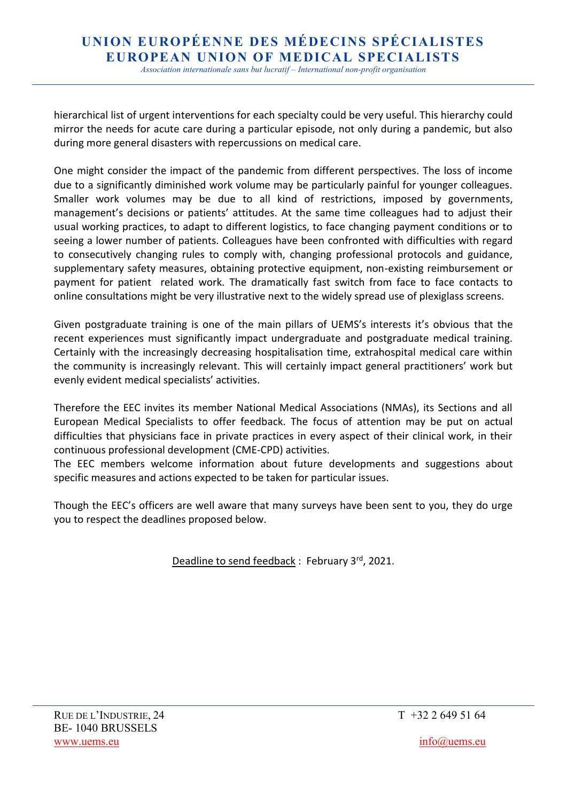*Association internationale sans but lucratif – International non-profit organisation*

hierarchical list of urgent interventions for each specialty could be very useful. This hierarchy could mirror the needs for acute care during a particular episode, not only during a pandemic, but also during more general disasters with repercussions on medical care.

One might consider the impact of the pandemic from different perspectives. The loss of income due to a significantly diminished work volume may be particularly painful for younger colleagues. Smaller work volumes may be due to all kind of restrictions, imposed by governments, management's decisions or patients' attitudes. At the same time colleagues had to adjust their usual working practices, to adapt to different logistics, to face changing payment conditions or to seeing a lower number of patients. Colleagues have been confronted with difficulties with regard to consecutively changing rules to comply with, changing professional protocols and guidance, supplementary safety measures, obtaining protective equipment, non-existing reimbursement or payment for patient related work. The dramatically fast switch from face to face contacts to online consultations might be very illustrative next to the widely spread use of plexiglass screens.

Given postgraduate training is one of the main pillars of UEMS's interests it's obvious that the recent experiences must significantly impact undergraduate and postgraduate medical training. Certainly with the increasingly decreasing hospitalisation time, extrahospital medical care within the community is increasingly relevant. This will certainly impact general practitioners' work but evenly evident medical specialists' activities.

Therefore the EEC invites its member National Medical Associations (NMAs), its Sections and all European Medical Specialists to offer feedback. The focus of attention may be put on actual difficulties that physicians face in private practices in every aspect of their clinical work, in their continuous professional development (CME-CPD) activities.

The EEC members welcome information about future developments and suggestions about specific measures and actions expected to be taken for particular issues.

Though the EEC's officers are well aware that many surveys have been sent to you, they do urge you to respect the deadlines proposed below.

Deadline to send feedback : February 3rd, 2021.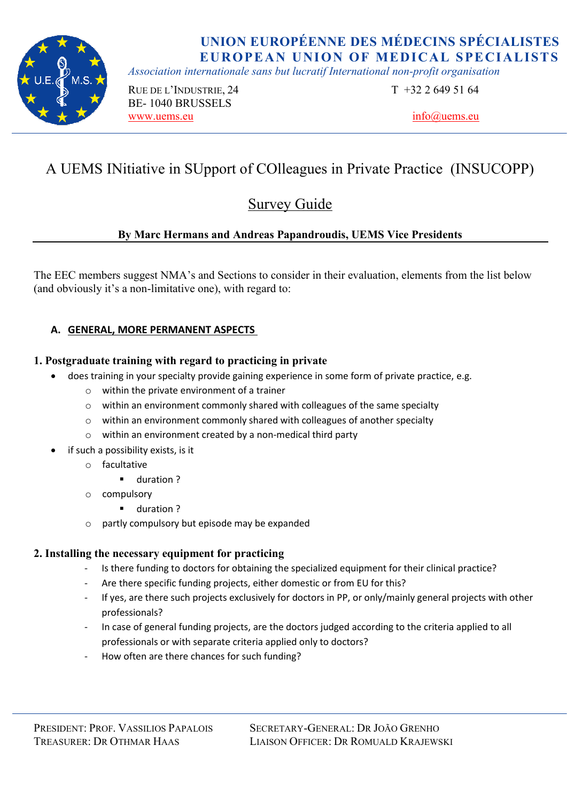

*Association internationale sans but lucratif International non-profit organisation* 

RUE DE L'INDUSTRIE, 24 T +32 2 649 51 64 BE- 1040 BRUSSELS www.uems.eu info@uems.eu info@uems.eu

# A UEMS INitiative in SUpport of COlleagues in Private Practice (INSUCOPP)

## Survey Guide

### **By Marc Hermans and Andreas Papandroudis, UEMS Vice Presidents**

The EEC members suggest NMA's and Sections to consider in their evaluation, elements from the list below (and obviously it's a non-limitative one), with regard to:

### **A. GENERAL, MORE PERMANENT ASPECTS**

#### **1. Postgraduate training with regard to practicing in private**

- does training in your specialty provide gaining experience in some form of private practice, e.g.
	- o within the private environment of a trainer
	- o within an environment commonly shared with colleagues of the same specialty
	- o within an environment commonly shared with colleagues of another specialty
	- o within an environment created by a non-medical third party
- if such a possibility exists, is it
	- o facultative
		- duration ?
	- o compulsory
		- duration ?
	- o partly compulsory but episode may be expanded

### **2. Installing the necessary equipment for practicing**

- Is there funding to doctors for obtaining the specialized equipment for their clinical practice?
- Are there specific funding projects, either domestic or from EU for this?
- If yes, are there such projects exclusively for doctors in PP, or only/mainly general projects with other professionals?
- In case of general funding projects, are the doctors judged according to the criteria applied to all professionals or with separate criteria applied only to doctors?
- How often are there chances for such funding?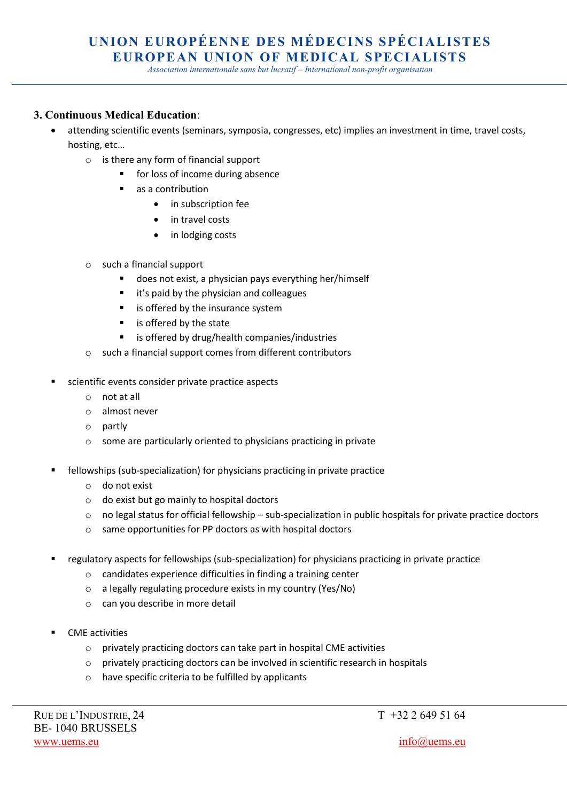*Association internationale sans but lucratif – International non-profit organisation*

#### **3. Continuous Medical Education**:

- attending scientific events (seminars, symposia, congresses, etc) implies an investment in time, travel costs, hosting, etc…
	- o is there any form of financial support
		- for loss of income during absence
		- as a contribution
			- in subscription fee
			- in travel costs
			- in lodging costs
	- o such a financial support
		- does not exist, a physician pays everything her/himself
		- it's paid by the physician and colleagues
		- is offered by the insurance system
		- is offered by the state
		- is offered by drug/health companies/industries
	- o such a financial support comes from different contributors
- scientific events consider private practice aspects
	- o not at all
	- o almost never
	- o partly
	- o some are particularly oriented to physicians practicing in private
- fellowships (sub-specialization) for physicians practicing in private practice
	- o do not exist
	- o do exist but go mainly to hospital doctors
	- $\circ$  no legal status for official fellowship sub-specialization in public hospitals for private practice doctors
	- o same opportunities for PP doctors as with hospital doctors
- regulatory aspects for fellowships (sub-specialization) for physicians practicing in private practice
	- o candidates experience difficulties in finding a training center
	- o a legally regulating procedure exists in my country (Yes/No)
	- o can you describe in more detail
- CME activities
	- o privately practicing doctors can take part in hospital CME activities
	- o privately practicing doctors can be involved in scientific research in hospitals
	- o have specific criteria to be fulfilled by applicants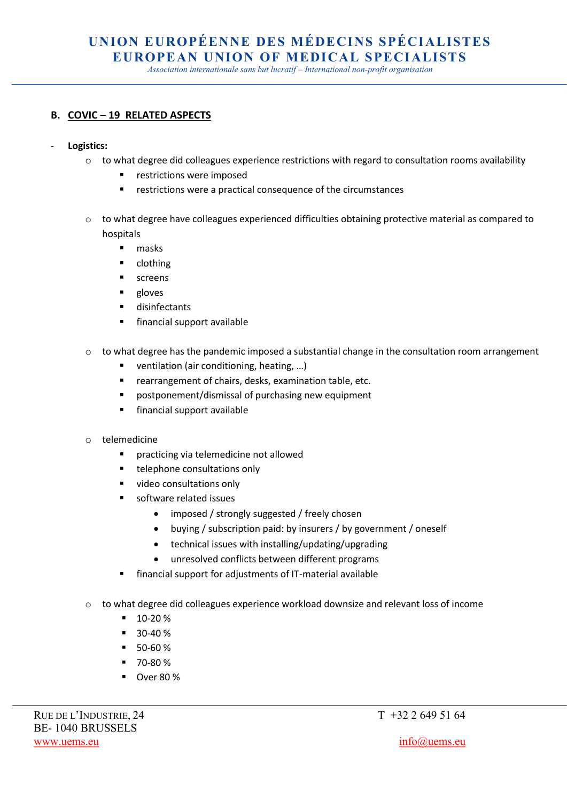*Association internationale sans but lucratif – International non-profit organisation*

#### **B. COVIC – 19 RELATED ASPECTS**

- **Logistics:** 
	- $\circ$  to what degree did colleagues experience restrictions with regard to consultation rooms availability
		- restrictions were imposed
		- restrictions were a practical consequence of the circumstances
	- o to what degree have colleagues experienced difficulties obtaining protective material as compared to hospitals
		- masks
		- clothing
		- screens
		- gloves
		- disinfectants
		- financial support available
	- $\circ$  to what degree has the pandemic imposed a substantial change in the consultation room arrangement
		- ventilation (air conditioning, heating, ...)
		- rearrangement of chairs, desks, examination table, etc.
		- postponement/dismissal of purchasing new equipment
		- financial support available
	- o telemedicine
		- practicing via telemedicine not allowed
		- telephone consultations only
		- video consultations only
		- software related issues
			- imposed / strongly suggested / freely chosen
			- buying / subscription paid: by insurers / by government / oneself
			- technical issues with installing/updating/upgrading
			- unresolved conflicts between different programs
		- financial support for adjustments of IT-material available
	- $\circ$  to what degree did colleagues experience workload downsize and relevant loss of income
		- 10-20 %
		- $\blacksquare$  30-40 %
		- 50-60 %
		- 70-80 %
		- Over 80 %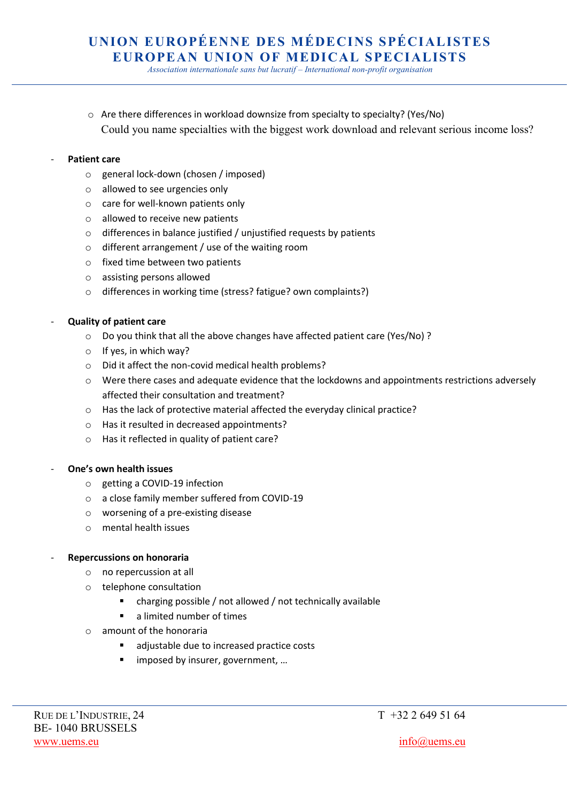*Association internationale sans but lucratif – International non-profit organisation*

o Are there differences in workload downsize from specialty to specialty? (Yes/No) Could you name specialties with the biggest work download and relevant serious income loss?

#### Patient care

- o general lock-down (chosen / imposed)
- o allowed to see urgencies only
- o care for well-known patients only
- o allowed to receive new patients
- o differences in balance justified / unjustified requests by patients
- o different arrangement / use of the waiting room
- o fixed time between two patients
- o assisting persons allowed
- o differences in working time (stress? fatigue? own complaints?)

#### - **Quality of patient care**

- o Do you think that all the above changes have affected patient care (Yes/No) ?
- $\circ$  If yes, in which way?
- o Did it affect the non-covid medical health problems?
- $\circ$  Were there cases and adequate evidence that the lockdowns and appointments restrictions adversely affected their consultation and treatment?
- o Has the lack of protective material affected the everyday clinical practice?
- o Has it resulted in decreased appointments?
- o Has it reflected in quality of patient care?

#### - **One's own health issues**

- o getting a COVID-19 infection
- o a close family member suffered from COVID-19
- o worsening of a pre-existing disease
- o mental health issues

#### - **Repercussions on honoraria**

- o no repercussion at all
- o telephone consultation
	- charging possible / not allowed / not technically available
	- a limited number of times
- $\circ$  amount of the honoraria
	- adjustable due to increased practice costs
	- imposed by insurer, government, ...